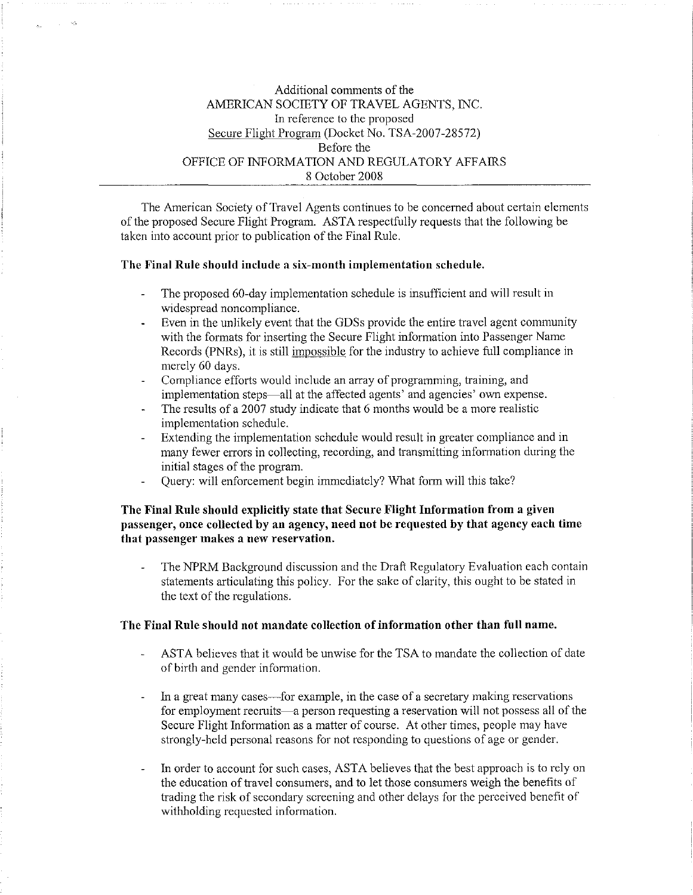# Additional connnents of the AMERICAN SOCIETY OF TRAVEL AGENTS, INC. In reference to the proposed Secure Flight Program (Docket No. TSA-2007-28572) Before the OFFICE OF INFORMATION AND REGULATORY AFFAIRS 8 October 2008

The American Society of Travel Agents continues to be concerned about certain elements of the proposed Secure Flight Program. ASTA respectfully requests that the following be taken into account prior to publication of the Final Rule.

#### The Final Rule should include a six-month implementation schedule.

- The proposed 60-day implementation schedule is insufficient and will result in widespread noncompliance.
- Even in the unlikely event that the GDSs provide the entire travel agent community with the formats for inserting the Secure Flight information into Passenger Name Records (PNRs), it is still impossible for the industry to achieve full compliance in merely 60 days.
- Compliance efforts would include an array of programming, training, and implementation steps-all at the affected agents' and agencies' own expense.
- The results of a 2007 study indicate that 6 months would be a more realistic implementation schedule.
- Extending the implementation schedule would result in greater compliance and in many fewer errors in collecting, recording, and transmitting information during the initial stages of the program.
- Query: will enforcement begin innnediately? What form will this take?

## The Final Rule should explicitly state that Secure Flight Information from a given passenger, once collected by an agency, need not be requested by that agency each time that passenger makes a new reservation.

The NPRM Background discussion and the Draft Regulatory Evaluation each contain statements articulating this policy. For the sake of clarity, this ought to be stated in the text of the regulations.

#### The Fiual Rule should not mandate collection of information other than fnll name.

- ASTA believes that it would be unwise for the TSA to mandate the collection of date of birth and gender information.
- In a great many cases—for example, in the case of a secretary making reservations for employment recruits-a person requesting a reservation will not possess all of the Secure Flight Information as a matter of course. At other times, people may have strongly-held personal reasons for not responding to questions of age or gender.
- In order to account for such cases, ASTA believes that the best approach is to rely on the education of travel consumers, and to let those consumers weigh the benefits of trading the risk of secondary screening and other delays for the perceived benefit of withholding requested information.